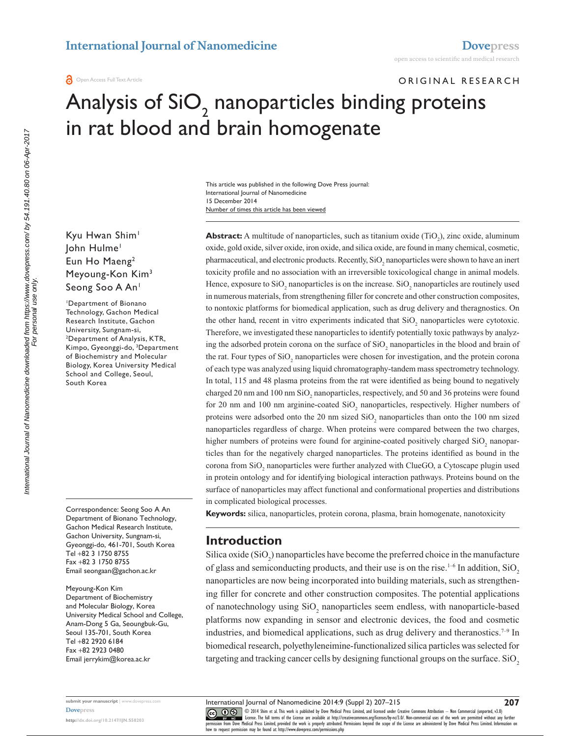ORIGINAL RESEARCH

# Analysis of SiO<sub>2</sub> nanoparticles binding proteins in rat blood and brain homogenate

Number of times this article has been viewed This article was published in the following Dove Press journal: International Journal of Nanomedicine 15 December 2014

Kyu Hwan Shim<sup>1</sup> John Hulme1 Eun Ho Maeng<sup>2</sup> Meyoung-Kon Kim3 Seong Soo A An<sup>1</sup>

1 Department of Bionano Technology, Gachon Medical Research Institute, Gachon University, Sungnam-si, 2 Department of Analysis, KTR, Kimpo, Gyeonggi-do, 3 Department of Biochemistry and Molecular Biology, Korea University Medical School and College, Seoul, South Korea

Correspondence: Seong Soo A An Department of Bionano Technology, Gachon Medical Research Institute, Gachon University, Sungnam-si, Gyeonggi-do, 461-701, South Korea Tel +82 3 1750 8755 Fax +82 3 1750 8755 Email [seongaan@gachon.ac.kr](mailto:seongaan@gachon.ac.kr)

Meyoung-Kon Kim Department of Biochemistry and Molecular Biology, Korea University Medical School and College, Anam-Dong 5 Ga, Seoungbuk-Gu, Seoul 135-701, South Korea Tel +82 2920 6184 Fax +82 2923 0480 Email [jerrykim@korea.ac.kr](mailto:jerrykim@korea.ac.kr)

**Abstract:** A multitude of nanoparticles, such as titanium oxide (TiO<sub>2</sub>), zinc oxide, aluminum oxide, gold oxide, silver oxide, iron oxide, and silica oxide, are found in many chemical, cosmetic, pharmaceutical, and electronic products. Recently, SiO<sub>2</sub> nanoparticles were shown to have an inert toxicity profile and no association with an irreversible toxicological change in animal models. Hence, exposure to  $SiO_2$  nanoparticles is on the increase.  $SiO_2$  nanoparticles are routinely used in numerous materials, from strengthening filler for concrete and other construction composites, to nontoxic platforms for biomedical application, such as drug delivery and theragnostics. On the other hand, recent in vitro experiments indicated that  $SiO_2$  nanoparticles were cytotoxic. Therefore, we investigated these nanoparticles to identify potentially toxic pathways by analyzing the adsorbed protein corona on the surface of  $SiO_2$  nanoparticles in the blood and brain of the rat. Four types of  $SiO_2$  nanoparticles were chosen for investigation, and the protein corona of each type was analyzed using liquid chromatography-tandem mass spectrometry technology. In total, 115 and 48 plasma proteins from the rat were identified as being bound to negatively charged 20 nm and 100 nm  $\mathrm{SiO}_2$  nanoparticles, respectively, and 50 and 36 proteins were found for 20 nm and 100 nm arginine-coated  $SiO_2$  nanoparticles, respectively. Higher numbers of proteins were adsorbed onto the  $20 \text{ nm}$  sized  $SiO_2$  nanoparticles than onto the  $100 \text{ nm}$  sized nanoparticles regardless of charge. When proteins were compared between the two charges, higher numbers of proteins were found for arginine-coated positively charged  $SiO_2$  nanoparticles than for the negatively charged nanoparticles. The proteins identified as bound in the corona from  $SiO<sub>2</sub>$  nanoparticles were further analyzed with ClueGO, a Cytoscape plugin used in protein ontology and for identifying biological interaction pathways. Proteins bound on the surface of nanoparticles may affect functional and conformational properties and distributions in complicated biological processes.

**Keywords:** silica, nanoparticles, protein corona, plasma, brain homogenate, nanotoxicity

## **Introduction**

Silica oxide  $(SiO<sub>2</sub>)$  nanoparticles have become the preferred choice in the manufacture of glass and semiconducting products, and their use is on the rise.<sup>1-6</sup> In addition, SiO<sub>2</sub> nanoparticles are now being incorporated into building materials, such as strengthening filler for concrete and other construction composites. The potential applications of nanotechnology using  $SiO_2$  nanoparticles seem endless, with nanoparticle-based platforms now expanding in sensor and electronic devices, the food and cosmetic industries, and biomedical applications, such as drug delivery and theranostics.<sup> $7-9$ </sup> In biomedical research, polyethyleneimine-functionalized silica particles was selected for targeting and tracking cancer cells by designing functional groups on the surface. SiO<sub>2</sub>

International Journal of Nanomedicine 2014:9 (Suppl 2) 207–215

mternational Journal of Nanomedicine downloaded from https://www.dovepress.com/ by 54.191.40.80 on 06-Apr-2017<br>For personal use only. International Journal of Nanomedicine downloaded from https://www.dovepress.com/ by 54.191.40.80 on 06-Apr-2017 For personal use only.

> **submit your manuscript** | <www.dovepress.com> **[Dovepress](www.dovepress.com)**

**<http://dx.doi.org/10.2147/IJN.S58203>**

CO ODI4 Shim et al. This work is published by Dove Medical Press Limited, and licensed under Creative Commons Attribution - Non Commercial (unported, v3.0)<br> [permission from Dove M](http://www.dovepress.com/permissions.php)edical Press Limited, provided the work is how to request permission may be found at: http://www.dovepress.com/permissions.php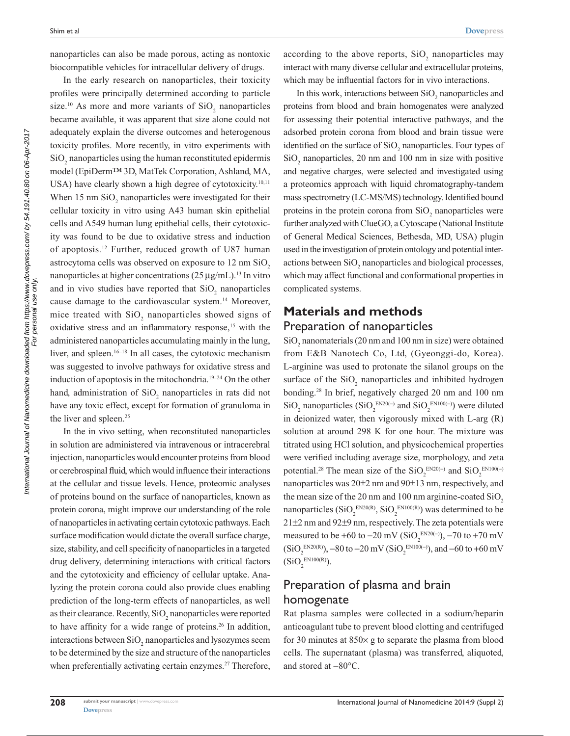nanoparticles can also be made porous, acting as nontoxic biocompatible vehicles for intracellular delivery of drugs.

In the early research on nanoparticles, their toxicity profiles were principally determined according to particle size.<sup>10</sup> As more and more variants of  $SiO_2$  nanoparticles became available, it was apparent that size alone could not adequately explain the diverse outcomes and heterogenous toxicity profiles. More recently, in vitro experiments with  $\mathrm{SiO}_2$  nanoparticles using the human reconstituted epidermis model (EpiDerm™ 3D, MatTek Corporation, Ashland, MA, USA) have clearly shown a high degree of cytotoxicity.<sup>10,11</sup> When  $15 \text{ nm SiO}_2$  nanoparticles were investigated for their cellular toxicity in vitro using A43 human skin epithelial cells and A549 human lung epithelial cells, their cytotoxicity was found to be due to oxidative stress and induction of apoptosis.12 Further, reduced growth of U87 human astrocytoma cells was observed on exposure to  $12 \text{ nm } \text{SiO}_2$ nanoparticles at higher concentrations (25 µg/mL).<sup>13</sup> In vitro and in vivo studies have reported that  $SiO_2$  nanoparticles cause damage to the cardiovascular system.14 Moreover, mice treated with  $SiO_2$  nanoparticles showed signs of oxidative stress and an inflammatory response,<sup>15</sup> with the administered nanoparticles accumulating mainly in the lung, liver, and spleen.<sup>16–18</sup> In all cases, the cytotoxic mechanism was suggested to involve pathways for oxidative stress and induction of apoptosis in the mitochondria.19–24 On the other hand, administration of  $SiO_2$  nanoparticles in rats did not have any toxic effect, except for formation of granuloma in the liver and spleen.<sup>25</sup>

In the in vivo setting, when reconstituted nanoparticles in solution are administered via intravenous or intracerebral injection, nanoparticles would encounter proteins from blood or cerebrospinal fluid, which would influence their interactions at the cellular and tissue levels. Hence, proteomic analyses of proteins bound on the surface of nanoparticles, known as protein corona, might improve our understanding of the role of nanoparticles in activating certain cytotoxic pathways. Each surface modification would dictate the overall surface charge, size, stability, and cell specificity of nanoparticles in a targeted drug delivery, determining interactions with critical factors and the cytotoxicity and efficiency of cellular uptake. Analyzing the protein corona could also provide clues enabling prediction of the long-term effects of nanoparticles, as well as their clearance. Recently,  $SiO_2$  nanoparticles were reported to have affinity for a wide range of proteins.<sup>26</sup> In addition, interactions between  $\text{SiO}_2$  nanoparticles and lysozymes seem to be determined by the size and structure of the nanoparticles when preferentially activating certain enzymes.<sup>27</sup> Therefore,

according to the above reports,  $SiO_2$  nanoparticles may interact with many diverse cellular and extracellular proteins, which may be influential factors for in vivo interactions.

In this work, interactions between  $\mathrm{SiO}_2$  nanoparticles and proteins from blood and brain homogenates were analyzed for assessing their potential interactive pathways, and the adsorbed protein corona from blood and brain tissue were identified on the surface of  $SiO_2$  nanoparticles. Four types of  $SiO<sub>2</sub>$  nanoparticles, 20 nm and 100 nm in size with positive and negative charges, were selected and investigated using a proteomics approach with liquid chromatography-tandem mass spectrometry (LC-MS/MS) technology. Identified bound proteins in the protein corona from  $SiO_2$  nanoparticles were further analyzed with ClueGO, a Cytoscape (National Institute of General Medical Sciences, Bethesda, MD, USA) plugin used in the investigation of protein ontology and potential interactions between  $SiO_2$  nanoparticles and biological processes, which may affect functional and conformational properties in complicated systems.

# **Materials and methods** Preparation of nanoparticles

 $\mathrm{SiO}_2$  nanomaterials (20 nm and 100 nm in size) were obtained from E&B Nanotech Co, Ltd, (Gyeonggi-do, Korea). L-arginine was used to protonate the silanol groups on the surface of the  $SiO_2$  nanoparticles and inhibited hydrogen bonding.28 In brief, negatively charged 20 nm and 100 nm SiO<sub>2</sub> nanoparticles (SiO<sub>2</sub><sup>EN20(−)</sup> and SiO<sub>2</sub><sup>EN100(−)</sup>) were diluted in deionized water, then vigorously mixed with L-arg (R) solution at around 298 K for one hour. The mixture was titrated using HCl solution, and physicochemical properties were verified including average size, morphology, and zeta potential.<sup>28</sup> The mean size of the SiO<sub>2</sub><sup>EN20(−)</sup> and SiO<sub>2</sub><sup>EN100(−)</sup> nanoparticles was 20±2 nm and 90±13 nm, respectively, and the mean size of the 20 nm and 100 nm arginine-coated  $SiO<sub>2</sub>$ nanoparticles  $(SiO_2^{\text{EN20(R)}}, SiO_2^{\text{EN100(R)}})$  was determined to be 21±2 nm and 92±9 nm, respectively. The zeta potentials were measured to be +60 to –20 mV (SiO<sub>2</sub><sup>EN20(−)</sup>), –70 to +70 mV  $(SiO_2^{EN20(R)})$ , –80 to –20 mV  $(SiO_2^{EN100(-)})$ , and –60 to +60 mV  $(SiO_2^{\text{EN100(R)}}).$ 

# Preparation of plasma and brain homogenate

Rat plasma samples were collected in a sodium/heparin anticoagulant tube to prevent blood clotting and centrifuged for 30 minutes at  $850\times$  g to separate the plasma from blood cells. The supernatant (plasma) was transferred, aliquoted, and stored at −80°C.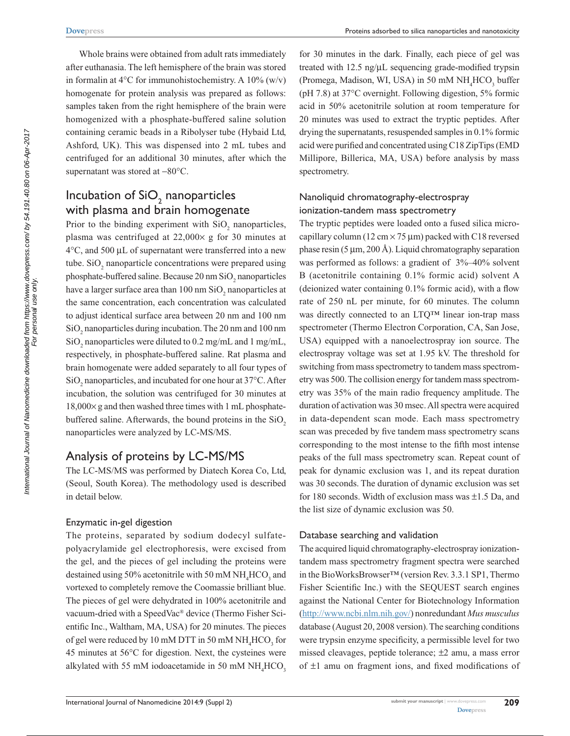Whole brains were obtained from adult rats immediately after euthanasia. The left hemisphere of the brain was stored in formalin at 4 $\rm ^{o}C$  for immunohistochemistry. A 10% (w/v) homogenate for protein analysis was prepared as follows: samples taken from the right hemisphere of the brain were homogenized with a phosphate-buffered saline solution containing ceramic beads in a Ribolyser tube (Hybaid Ltd, Ashford, UK). This was dispensed into 2 mL tubes and centrifuged for an additional 30 minutes, after which the supernatant was stored at −80°C.

# Incubation of  $\text{SiO}_2$  nanoparticles with plasma and brain homogenate

Prior to the binding experiment with  $SiO_2$  nanoparticles, plasma was centrifuged at  $22,000 \times g$  for 30 minutes at  $4^{\circ}$ C, and 500 µL of supernatant were transferred into a new tube.  $SiO<sub>2</sub>$  nanoparticle concentrations were prepared using phosphate-buffered saline. Because  $20 \text{ nm SiO}_2$  nanoparticles have a larger surface area than  $100 \text{ nm } \text{SiO}_2$  nanoparticles at the same concentration, each concentration was calculated to adjust identical surface area between 20 nm and 100 nm  $\mathrm{SiO}_2$  nanoparticles during incubation. The 20 nm and 100 nm  $\mathrm{SiO}_2$  nanoparticles were diluted to 0.2 mg/mL and 1 mg/mL, respectively, in phosphate-buffered saline. Rat plasma and brain homogenate were added separately to all four types of  $SiO<sub>2</sub>$  nanoparticles, and incubated for one hour at 37°C. After incubation, the solution was centrifuged for 30 minutes at  $18,000\times$  g and then washed three times with 1 mL phosphatebuffered saline. Afterwards, the bound proteins in the SiO<sub>2</sub> nanoparticles were analyzed by LC-MS/MS.

## Analysis of proteins by LC-MS/MS

The LC-MS/MS was performed by Diatech Korea Co, Ltd, (Seoul, South Korea). The methodology used is described in detail below.

#### Enzymatic in-gel digestion

The proteins, separated by sodium dodecyl sulfatepolyacrylamide gel electrophoresis, were excised from the gel, and the pieces of gel including the proteins were destained using 50% acetonitrile with 50 mM  $\rm NH_4HCO_3$  and vortexed to completely remove the Coomassie brilliant blue. The pieces of gel were dehydrated in 100% acetonitrile and vacuum-dried with a SpeedVac® device (Thermo Fisher Scientific Inc., Waltham, MA, USA) for 20 minutes. The pieces of gel were reduced by 10 mM DTT in 50 mM  $\rm NH_4HCO_3$  for 45 minutes at 56°C for digestion. Next, the cysteines were alkylated with 55 mM iodoacetamide in 50 mM  $NH<sub>4</sub>HCO<sub>3</sub>$ 

for 30 minutes in the dark. Finally, each piece of gel was treated with  $12.5$  ng/ $\mu$ L sequencing grade-modified trypsin (Promega, Madison, WI, USA) in 50 mM  $\mathrm{NH}_4\mathrm{HCO}_3$  buffer (pH 7.8) at 37°C overnight. Following digestion, 5% formic acid in 50% acetonitrile solution at room temperature for 20 minutes was used to extract the tryptic peptides. After drying the supernatants, resuspended samples in 0.1% formic acid were purified and concentrated using C18 ZipTips (EMD Millipore, Billerica, MA, USA) before analysis by mass spectrometry.

## Nanoliquid chromatography-electrospray ionization-tandem mass spectrometry

The tryptic peptides were loaded onto a fused silica microcapillary column (12 cm  $\times$  75 µm) packed with C18 reversed phase resin  $(5 \mu m, 200 \text{ Å})$ . Liquid chromatography separation was performed as follows: a gradient of 3%–40% solvent B (acetonitrile containing 0.1% formic acid) solvent A (deionized water containing 0.1% formic acid), with a flow rate of 250 nL per minute, for 60 minutes. The column was directly connected to an LTQ™ linear ion-trap mass spectrometer (Thermo Electron Corporation, CA, San Jose, USA) equipped with a nanoelectrospray ion source. The electrospray voltage was set at 1.95 kV. The threshold for switching from mass spectrometry to tandem mass spectrometry was 500. The collision energy for tandem mass spectrometry was 35% of the main radio frequency amplitude. The duration of activation was 30 msec. All spectra were acquired in data-dependent scan mode. Each mass spectrometry scan was preceded by five tandem mass spectrometry scans corresponding to the most intense to the fifth most intense peaks of the full mass spectrometry scan. Repeat count of peak for dynamic exclusion was 1, and its repeat duration was 30 seconds. The duration of dynamic exclusion was set for 180 seconds. Width of exclusion mass was ±1.5 Da, and the list size of dynamic exclusion was 50.

#### Database searching and validation

The acquired liquid chromatography-electrospray ionizationtandem mass spectrometry fragment spectra were searched in the BioWorksBrowser™ (version Rev. 3.3.1 SP1, Thermo Fisher Scientific Inc.) with the SEQUEST search engines against the National Center for Biotechnology Information (<http://www.ncbi.nlm.nih.gov/>) nonredundant *Mus musculus* database (August 20, 2008 version). The searching conditions were trypsin enzyme specificity, a permissible level for two missed cleavages, peptide tolerance; ±2 amu, a mass error of ±1 amu on fragment ions, and fixed modifications of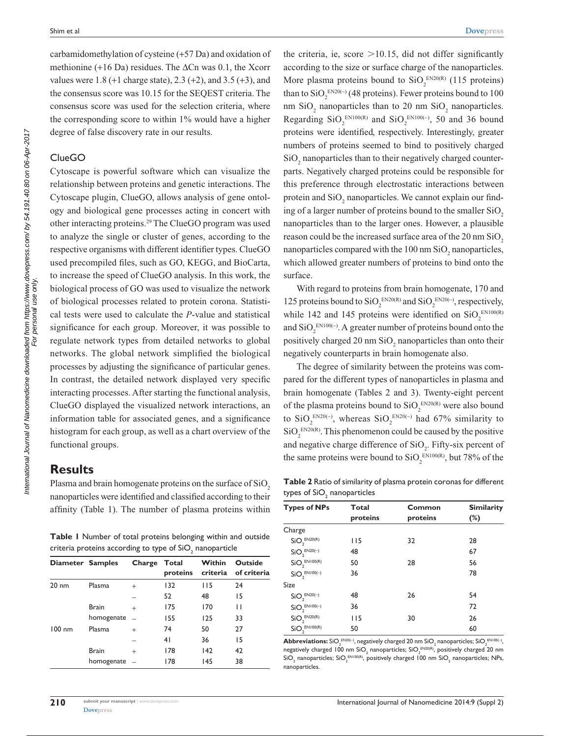carbamidomethylation of cysteine (+57 Da) and oxidation of methionine (+16 Da) residues. The ∆Cn was 0.1, the Xcorr values were 1.8 (+1 charge state), 2.3 (+2), and 3.5 (+3), and the consensus score was 10.15 for the SEQEST criteria. The consensus score was used for the selection criteria, where the corresponding score to within 1% would have a higher degree of false discovery rate in our results.

#### ClueGO

Cytoscape is powerful software which can visualize the relationship between proteins and genetic interactions. The Cytoscape plugin, ClueGO, allows analysis of gene ontology and biological gene processes acting in concert with other interacting proteins.29 The ClueGO program was used to analyze the single or cluster of genes, according to the respective organisms with different identifier types. ClueGO used precompiled files, such as GO, KEGG, and BioCarta, to increase the speed of ClueGO analysis. In this work, the biological process of GO was used to visualize the network of biological processes related to protein corona. Statistical tests were used to calculate the *P*-value and statistical significance for each group. Moreover, it was possible to regulate network types from detailed networks to global networks. The global network simplified the biological processes by adjusting the significance of particular genes. In contrast, the detailed network displayed very specific interacting processes. After starting the functional analysis, ClueGO displayed the visualized network interactions, an information table for associated genes, and a significance histogram for each group, as well as a chart overview of the functional groups.

## **Results**

Plasma and brain homogenate proteins on the surface of SiO<sub>2</sub> nanoparticles were identified and classified according to their affinity (Table 1). The number of plasma proteins within

**Table 1** Number of total proteins belonging within and outside criteria proteins according to type of SiO $_{\textrm{\tiny{2}}}$  nanoparticle

| Diameter Samples |              | Charge | Total<br>proteins | Within<br>criteria | <b>Outside</b><br>of criteria |
|------------------|--------------|--------|-------------------|--------------------|-------------------------------|
| $20 \text{ nm}$  | Plasma       | $^{+}$ | 132               | 115                | 24                            |
|                  |              |        | 52                | 48                 | 15                            |
|                  | <b>Brain</b> | $^{+}$ | 175               | 170                | П                             |
|                  | homogenate   | $\sim$ | 155               | 125                | 33                            |
| $100 \text{ nm}$ | Plasma       | $^{+}$ | 74                | 50                 | 27                            |
|                  |              |        | 41                | 36                 | 15                            |
|                  | <b>Brain</b> | $^{+}$ | 178               | 142                | 42                            |
|                  | homogenate   |        | 178               | 145                | 38                            |

the criteria, ie, score  $>10.15$ , did not differ significantly according to the size or surface charge of the nanoparticles. More plasma proteins bound to  $SiO_2^{\text{EN20(R)}}$  (115 proteins) than to  $\text{SiO}_2^{\text{EN20(-)}}$  (48 proteins). Fewer proteins bound to 100 nm  $\text{SiO}_2$  nanoparticles than to 20 nm  $\text{SiO}_2$  nanoparticles. Regarding  $\text{SiO}_2^{\text{EN100(R)}}$  and  $\text{SiO}_2^{\text{EN100(-)}},$  50 and 36 bound proteins were identified, respectively. Interestingly, greater numbers of proteins seemed to bind to positively charged  $\mathrm{SiO}_2$  nanoparticles than to their negatively charged counterparts. Negatively charged proteins could be responsible for this preference through electrostatic interactions between protein and  $SiO_2$  nanoparticles. We cannot explain our finding of a larger number of proteins bound to the smaller  $SiO<sub>2</sub>$ nanoparticles than to the larger ones. However, a plausible reason could be the increased surface area of the 20 nm SiO<sub>2</sub> nanoparticles compared with the  $100 \text{ nm SiO}_2$  nanoparticles, which allowed greater numbers of proteins to bind onto the surface.

With regard to proteins from brain homogenate, 170 and 125 proteins bound to  $SiO_2^{\text{EN20(R)}}$  and  $SiO_2^{\text{EN20(-)}},$  respectively, while 142 and 145 proteins were identified on  $SiO_2^{ENI00(R)}$ and  $\text{SiO}_2^{\text{EN100(-)}}$ . A greater number of proteins bound onto the positively charged 20 nm  $SiO_2$  nanoparticles than onto their negatively counterparts in brain homogenate also.

The degree of similarity between the proteins was compared for the different types of nanoparticles in plasma and brain homogenate (Tables 2 and 3). Twenty-eight percent of the plasma proteins bound to  $SiO_2^{\text{EN20(R)}}$  were also bound to  $SiO_2^{\text{EN20(-)}}$ , whereas  $SiO_2^{\text{EN20(-)}}$  had 67% similarity to  $\text{SiO}_2^{\text{EN20(R)}}$ . This phenomenon could be caused by the positive and negative charge difference of  $SiO_2$ . Fifty-six percent of the same proteins were bound to  $SiO_2^{EN100(R)}$ , but 78% of the

**Table 2** Ratio of similarity of plasma protein coronas for different types of SiO $_{\textrm{\tiny{2}}}$  nanoparticles

| <b>Types of NPs</b>                  | <b>Total</b> | Common   | <b>Similarity</b> |
|--------------------------------------|--------------|----------|-------------------|
|                                      | proteins     | proteins | $(\%)$            |
| Charge                               |              |          |                   |
| SiO <sub>2</sub> <sup>EN20(R)</sup>  | I I 5        | 32       | 28                |
| $SiO_2^{\text{EN20(-)}}$             | 48           |          | 67                |
| SiO <sub>2</sub> <sup>EN100(R)</sup> | 50           | 28       | 56                |
| $SiO2EN100(-)$                       | 36           |          | 78                |
| <b>Size</b>                          |              |          |                   |
| $SiO2EN20(-)$                        | 48           | 26       | 54                |
| $SiO2EN100(-)$                       | 36           |          | 72                |
| $SiO_2^{EN20(R)}$                    | 115          | 30       | 26                |
| SiO <sub>2</sub> <sup>EN100(R)</sup> | 50           |          | 60                |

 ${\sf Abbreviations:}$   ${\rm SiO_2}^{\rm EN20(-)},$  negatively charged 20 nm  ${\rm SiO_2}$  nanoparticles;  ${\rm SiO_2}^{\rm EN100(-)},$ negatively charged 100 nm SiO $_2$  nanoparticles; SiO $_2^{\,\text{\tiny{EN20(R)}}}$ , positively charged 20 nm SiO $_2$  nanoparticles; SiO $_2^{\, \text{\tiny{EN100(R)}}}$ , positively charged 100 nm SiO $_2$  nanoparticles; NPs, nanoparticles.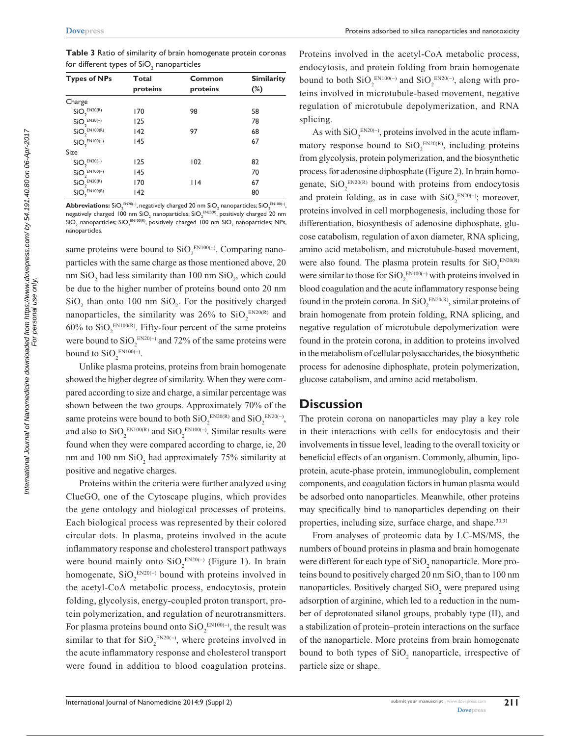**Table 3** Ratio of similarity of brain homogenate protein coronas for different types of SiO $_{\textrm{\tiny{2}}}$  nanoparticles

| <b>Types of NPs</b>                   | <b>Total</b> | Common   | <b>Similarity</b><br>$(\%)$ |  |
|---------------------------------------|--------------|----------|-----------------------------|--|
|                                       | proteins     | proteins |                             |  |
| Charge                                |              |          |                             |  |
| SiO <sub>2</sub> <sup>EN20(R)</sup>   | 170          | 98       | 58                          |  |
| $SiO2EN20(-)$                         | 125          |          | 78                          |  |
| SiO <sub>2</sub> <sup>EN100(R)</sup>  | 142          | 97       | 68                          |  |
| $SiO2EN100(-)$                        | 145          |          | 67                          |  |
| <b>Size</b>                           |              |          |                             |  |
| $\mathsf{SiO}_2^{\ \mathsf{EN20(-)}}$ | 125          | 102      | 82                          |  |
| $SiO2EN100(-)$                        | 145          |          | 70                          |  |
| SiO <sub>2</sub> <sup>EN20(R)</sup>   | 170          | $ $  4   | 67                          |  |
| SiO <sub>2</sub> <sup>EN100(R)</sup>  | 142          |          | 80                          |  |

 ${\bf Abbreviations:}$   ${\rm SiO_2}^{\rm EN20(-)},$  negatively charged 20 nm  ${\rm SiO_2}$  nanoparticles;  ${\rm SiO_2}^{\rm EN100(-)},$ negatively charged 100 nm SiO<sub>2</sub> nanoparticles; SiO<sub>2</sub>  $^{EN20(R)}$ , positively charged 20 nm SiO $_2$  nanoparticles; SiO $_2^{\, \text{\tiny{EN100(R)}}}$ , positively charged 100 nm SiO $_2$  nanoparticles; NPs, nanoparticles.

same proteins were bound to  $SiO_2^{\text{EN100(-)}}$ . Comparing nanoparticles with the same charge as those mentioned above, 20 nm  $SiO<sub>2</sub>$  had less similarity than 100 nm  $SiO<sub>2</sub>$ , which could be due to the higher number of proteins bound onto 20 nm  $\text{SiO}_2$  than onto 100 nm  $\text{SiO}_2$ . For the positively charged nanoparticles, the similarity was 26% to  $SiO_2^{EN20(R)}$  and 60% to  $SiO_2^{EN100(R)}$ . Fifty-four percent of the same proteins were bound to  $SiO_2^{\text{EN20(-)}}$  and 72% of the same proteins were bound to  $SiO_2^{\text{EN100(-)}}$ .

Unlike plasma proteins, proteins from brain homogenate showed the higher degree of similarity. When they were compared according to size and charge, a similar percentage was shown between the two groups. Approximately 70% of the same proteins were bound to both  $SiO_2^{\text{EN20(R)}}$  and  $SiO_2^{\text{EN20(-)}},$ and also to  $SiO_2^{EN100(R)}$  and  $SiO_2^{EN100(-)}$ . Similar results were found when they were compared according to charge, ie, 20 nm and 100 nm  $SiO<sub>2</sub>$  had approximately 75% similarity at positive and negative charges.

Proteins within the criteria were further analyzed using ClueGO, one of the Cytoscape plugins, which provides the gene ontology and biological processes of proteins. Each biological process was represented by their colored circular dots. In plasma, proteins involved in the acute inflammatory response and cholesterol transport pathways were bound mainly onto  $SiO_2^{\text{EN20(-)}}$  (Figure 1). In brain homogenate,  $SiO_2^{\text{EN20(-)}}$  bound with proteins involved in the acetyl-CoA metabolic process, endocytosis, protein folding, glycolysis, energy-coupled proton transport, protein polymerization, and regulation of neurotransmitters. For plasma proteins bound onto  $SiO_2^{\text{EN100(-)}}$ , the result was similar to that for  $SiO_2^{\text{EN20(-)}},$  where proteins involved in the acute inflammatory response and cholesterol transport were found in addition to blood coagulation proteins.

Proteins involved in the acetyl-CoA metabolic process, endocytosis, and protein folding from brain homogenate bound to both  $\text{SiO}_2^{\text{EN100(-)}}$  and  $\text{SiO}_2^{\text{EN20(-)}},$  along with proteins involved in microtubule-based movement, negative regulation of microtubule depolymerization, and RNA splicing.

As with  $\text{SiO}_2^{\text{EN20(-)}},$  proteins involved in the acute inflammatory response bound to  $SiO_2^{\text{EN20(R)}}$ , including proteins from glycolysis, protein polymerization, and the biosynthetic process for adenosine diphosphate (Figure 2). In brain homogenate,  $SiO_2^{\text{EN20(R)}}$  bound with proteins from endocytosis and protein folding, as in case with  $SiO_2^{\text{EN20(-)}}$ ; moreover, proteins involved in cell morphogenesis, including those for differentiation, biosynthesis of adenosine diphosphate, glucose catabolism, regulation of axon diameter, RNA splicing, amino acid metabolism, and microtubule-based movement, were also found. The plasma protein results for  $SiO_2^{\text{EN20(R)}}$ were similar to those for  $SiO_2^{\text{EN100(-)}}$  with proteins involved in blood coagulation and the acute inflammatory response being found in the protein corona. In  $SiO_2^{\text{EN20(R)}}$ , similar proteins of brain homogenate from protein folding, RNA splicing, and negative regulation of microtubule depolymerization were found in the protein corona, in addition to proteins involved in the metabolism of cellular polysaccharides, the biosynthetic process for adenosine diphosphate, protein polymerization, glucose catabolism, and amino acid metabolism.

## **Discussion**

The protein corona on nanoparticles may play a key role in their interactions with cells for endocytosis and their involvements in tissue level, leading to the overall toxicity or beneficial effects of an organism. Commonly, albumin, lipoprotein, acute-phase protein, immunoglobulin, complement components, and coagulation factors in human plasma would be adsorbed onto nanoparticles. Meanwhile, other proteins may specifically bind to nanoparticles depending on their properties, including size, surface charge, and shape.<sup>30,31</sup>

From analyses of proteomic data by LC-MS/MS, the numbers of bound proteins in plasma and brain homogenate were different for each type of  $\mathrm{SiO}_2$  nanoparticle. More proteins bound to positively charged 20 nm  $\mathrm{SiO}_2$  than to 100 nm nanoparticles. Positively charged  $SiO_2$  were prepared using adsorption of arginine, which led to a reduction in the number of deprotonated silanol groups, probably type (II), and a stabilization of protein–protein interactions on the surface of the nanoparticle. More proteins from brain homogenate bound to both types of SiO<sub>2</sub> nanoparticle, irrespective of particle size or shape.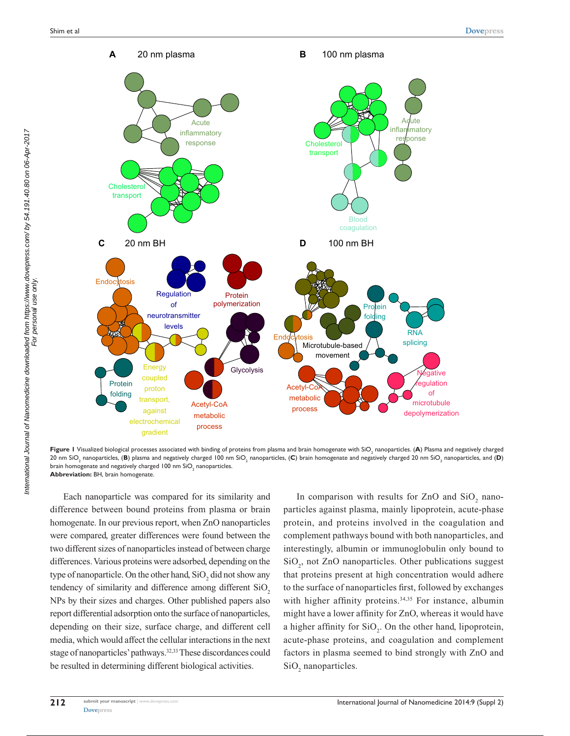

**Figure I** Visualized biological processes associated with binding of proteins from plasma and brain homogenate with SiO<sub>2</sub> nanoparticles. **(A**) Plasma and negatively charged 20 nm SiO<sub>2</sub> nanoparticles, **(B**) plasma and negatively charged 100 nm SiO<sub>2</sub> nanoparticles, **(C**) brain homogenate and negatively charged 20 nm SiO<sub>2</sub> nanoparticles, and **(D**) brain homogenate and negatively charged 100 nm SiO $_{\textrm{\tiny{2}}}$  nanoparticles. **Abbreviation:** BH, brain homogenate.

Each nanoparticle was compared for its similarity and difference between bound proteins from plasma or brain homogenate. In our previous report, when ZnO nanoparticles were compared, greater differences were found between the two different sizes of nanoparticles instead of between charge differences. Various proteins were adsorbed, depending on the type of nanoparticle. On the other hand,  $SiO<sub>2</sub>$  did not show any tendency of similarity and difference among different  $SiO<sub>2</sub>$ NPs by their sizes and charges. Other published papers also report differential adsorption onto the surface of nanoparticles, depending on their size, surface charge, and different cell media, which would affect the cellular interactions in the next stage of nanoparticles' pathways.<sup>32,33</sup> These discordances could be resulted in determining different biological activities.

In comparison with results for ZnO and  $SiO_2$  nanoparticles against plasma, mainly lipoprotein, acute-phase protein, and proteins involved in the coagulation and complement pathways bound with both nanoparticles, and interestingly, albumin or immunoglobulin only bound to SiO<sub>2</sub>, not ZnO nanoparticles. Other publications suggest that proteins present at high concentration would adhere to the surface of nanoparticles first, followed by exchanges with higher affinity proteins.<sup>34,35</sup> For instance, albumin might have a lower affinity for ZnO, whereas it would have a higher affinity for  $SiO_2$ . On the other hand, lipoprotein, acute-phase proteins, and coagulation and complement factors in plasma seemed to bind strongly with ZnO and SiO<sub>2</sub> nanoparticles.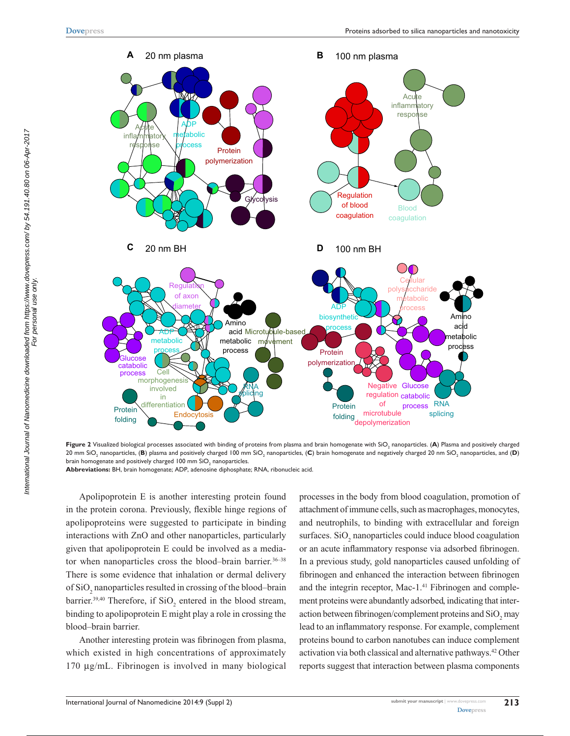

 ${\sf Figure~2}$  Visualized biological processes associated with binding of proteins from plasma and brain homogenate with SiO<sub>2</sub> nanoparticles. (**A**) Plasma and positively charged 20 mm SiO<sub>2</sub> nanoparticles, (**B**) plasma and positively charged 100 mm SiO<sub>2</sub> nanoparticles, (**C**) brain homogenate and negatively charged 20 nm SiO<sub>2</sub> nanoparticles, and (**D**) brain homogenate and positively charged 100 mm SiO $_{\rm 2}$  nanoparticles.

**Abbreviations:** BH, brain homogenate; ADP, adenosine diphosphate; RNA, ribonucleic acid.

Apolipoprotein E is another interesting protein found in the protein corona. Previously, flexible hinge regions of apolipoproteins were suggested to participate in binding interactions with ZnO and other nanoparticles, particularly given that apolipoprotein E could be involved as a mediator when nanoparticles cross the blood–brain barrier.<sup>36-38</sup> There is some evidence that inhalation or dermal delivery of  $\rm SiO_2$  nanoparticles resulted in crossing of the blood–brain barrier.<sup>39,40</sup> Therefore, if  $SiO<sub>2</sub>$  entered in the blood stream, binding to apolipoprotein E might play a role in crossing the blood–brain barrier.

Another interesting protein was fibrinogen from plasma, which existed in high concentrations of approximately 170 µg/mL. Fibrinogen is involved in many biological processes in the body from blood coagulation, promotion of attachment of immune cells, such as macrophages, monocytes, and neutrophils, to binding with extracellular and foreign surfaces.  $SiO_2$  nanoparticles could induce blood coagulation or an acute inflammatory response via adsorbed fibrinogen. In a previous study, gold nanoparticles caused unfolding of fibrinogen and enhanced the interaction between fibrinogen and the integrin receptor, Mac-1.<sup>41</sup> Fibrinogen and complement proteins were abundantly adsorbed, indicating that interaction between fibrinogen/complement proteins and  $\mathrm{SiO}_2$  may lead to an inflammatory response. For example, complement proteins bound to carbon nanotubes can induce complement activation via both classical and alternative pathways.42 Other reports suggest that interaction between plasma components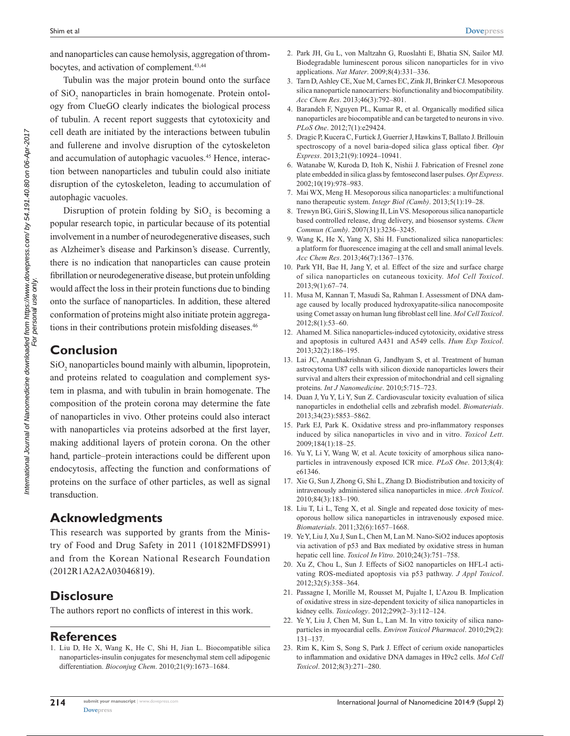and nanoparticles can cause hemolysis, aggregation of thrombocytes, and activation of complement.<sup>43,44</sup>

Tubulin was the major protein bound onto the surface of SiO<sub>2</sub> nanoparticles in brain homogenate. Protein ontology from ClueGO clearly indicates the biological process of tubulin. A recent report suggests that cytotoxicity and cell death are initiated by the interactions between tubulin and fullerene and involve disruption of the cytoskeleton and accumulation of autophagic vacuoles.<sup>45</sup> Hence, interaction between nanoparticles and tubulin could also initiate disruption of the cytoskeleton, leading to accumulation of autophagic vacuoles.

Disruption of protein folding by  $SiO_2$  is becoming a popular research topic, in particular because of its potential involvement in a number of neurodegenerative diseases, such as Alzheimer's disease and Parkinson's disease. Currently, there is no indication that nanoparticles can cause protein fibrillation or neurodegenerative disease, but protein unfolding would affect the loss in their protein functions due to binding onto the surface of nanoparticles. In addition, these altered conformation of proteins might also initiate protein aggregations in their contributions protein misfolding diseases.<sup>46</sup>

## **Conclusion**

 $\mathrm{SiO}_2$  nanoparticles bound mainly with albumin, lipoprotein, and proteins related to coagulation and complement system in plasma, and with tubulin in brain homogenate. The composition of the protein corona may determine the fate of nanoparticles in vivo. Other proteins could also interact with nanoparticles via proteins adsorbed at the first layer, making additional layers of protein corona. On the other hand, particle–protein interactions could be different upon endocytosis, affecting the function and conformations of proteins on the surface of other particles, as well as signal transduction.

# **Acknowledgments**

This research was supported by grants from the Ministry of Food and Drug Safety in 2011 (10182MFDS991) and from the Korean National Research Foundation (2012R1A2A2A03046819).

# **Disclosure**

The authors report no conflicts of interest in this work.

## **References**

1. Liu D, He X, Wang K, He C, Shi H, Jian L. Biocompatible silica nanoparticles-insulin conjugates for mesenchymal stem cell adipogenic differentiation. *Bioconjug Chem*. 2010;21(9):1673–1684.

- 2. Park JH, Gu L, von Maltzahn G, Ruoslahti E, Bhatia SN, Sailor MJ. Biodegradable luminescent porous silicon nanoparticles for in vivo applications. *Nat Mater*. 2009;8(4):331–336.
- 3. Tarn D, Ashley CE, Xue M, Carnes EC, Zink JI, Brinker CJ. Mesoporous silica nanoparticle nanocarriers: biofunctionality and biocompatibility. *Acc Chem Res*. 2013;46(3):792–801.
- 4. Barandeh F, Nguyen PL, Kumar R, et al. Organically modified silica nanoparticles are biocompatible and can be targeted to neurons in vivo. *PLoS One*. 2012;7(1):e29424.
- 5. Dragic P, Kucera C, Furtick J, Guerrier J, Hawkins T, Ballato J. Brillouin spectroscopy of a novel baria-doped silica glass optical fiber. *Opt Express*. 2013;21(9):10924–10941.
- 6. Watanabe W, Kuroda D, Itoh K, Nishii J. Fabrication of Fresnel zone plate embedded in silica glass by femtosecond laser pulses. *Opt Express*. 2002;10(19):978–983.
- 7. Mai WX, Meng H. Mesoporous silica nanoparticles: a multifunctional nano therapeutic system. *Integr Biol (Camb)*. 2013;5(1):19–28.
- 8. Trewyn BG, Giri S, Slowing II, Lin VS. Mesoporous silica nanoparticle based controlled release, drug delivery, and biosensor systems. *Chem Commun (Camb)*. 2007(31):3236–3245.
- 9. Wang K, He X, Yang X, Shi H. Functionalized silica nanoparticles: a platform for fluorescence imaging at the cell and small animal levels. *Acc Chem Res*. 2013;46(7):1367–1376.
- 10. Park YH, Bae H, Jang Y, et al. Effect of the size and surface charge of silica nanoparticles on cutaneous toxicity. *Mol Cell Toxicol*. 2013;9(1):67–74.
- 11. Musa M, Kannan T, Masudi Sa, Rahman I. Assessment of DNA damage caused by locally produced hydroxyapatite-silica nanocomposite using Comet assay on human lung fibroblast cell line. *Mol Cell Toxicol*. 2012;8(1):53–60.
- 12. Ahamed M. Silica nanoparticles-induced cytotoxicity, oxidative stress and apoptosis in cultured A431 and A549 cells. *Hum Exp Toxicol*. 2013;32(2):186–195.
- 13. Lai JC, Ananthakrishnan G, Jandhyam S, et al. Treatment of human astrocytoma U87 cells with silicon dioxide nanoparticles lowers their survival and alters their expression of mitochondrial and cell signaling proteins. *Int J Nanomedicine*. 2010;5:715–723.
- 14. Duan J, Yu Y, Li Y, Sun Z. Cardiovascular toxicity evaluation of silica nanoparticles in endothelial cells and zebrafish model. *Biomaterials*. 2013;34(23):5853–5862.
- 15. Park EJ, Park K. Oxidative stress and pro-inflammatory responses induced by silica nanoparticles in vivo and in vitro. *Toxicol Lett*. 2009;184(1):18–25.
- 16. Yu Y, Li Y, Wang W, et al. Acute toxicity of amorphous silica nanoparticles in intravenously exposed ICR mice. *PLoS One*. 2013;8(4): e61346.
- 17. Xie G, Sun J, Zhong G, Shi L, Zhang D. Biodistribution and toxicity of intravenously administered silica nanoparticles in mice. *Arch Toxicol*. 2010;84(3):183–190.
- 18. Liu T, Li L, Teng X, et al. Single and repeated dose toxicity of mesoporous hollow silica nanoparticles in intravenously exposed mice. *Biomaterials*. 2011;32(6):1657–1668.
- 19. Ye Y, Liu J, Xu J, Sun L, Chen M, Lan M. Nano-SiO2 induces apoptosis via activation of p53 and Bax mediated by oxidative stress in human hepatic cell line. *Toxicol In Vitro*. 2010;24(3):751–758.
- 20. Xu Z, Chou L, Sun J. Effects of SiO2 nanoparticles on HFL-I activating ROS-mediated apoptosis via p53 pathway. *J Appl Toxicol*. 2012;32(5):358–364.
- 21. Passagne I, Morille M, Rousset M, Pujalte I, L'Azou B. Implication of oxidative stress in size-dependent toxicity of silica nanoparticles in kidney cells. *Toxicology*. 2012;299(2–3):112–124.
- 22. Ye Y, Liu J, Chen M, Sun L, Lan M. In vitro toxicity of silica nanoparticles in myocardial cells. *Environ Toxicol Pharmacol*. 2010;29(2): 131–137.
- 23. Rim K, Kim S, Song S, Park J. Effect of cerium oxide nanoparticles to inflammation and oxidative DNA damages in H9c2 cells. *Mol Cell Toxicol*. 2012;8(3):271–280.